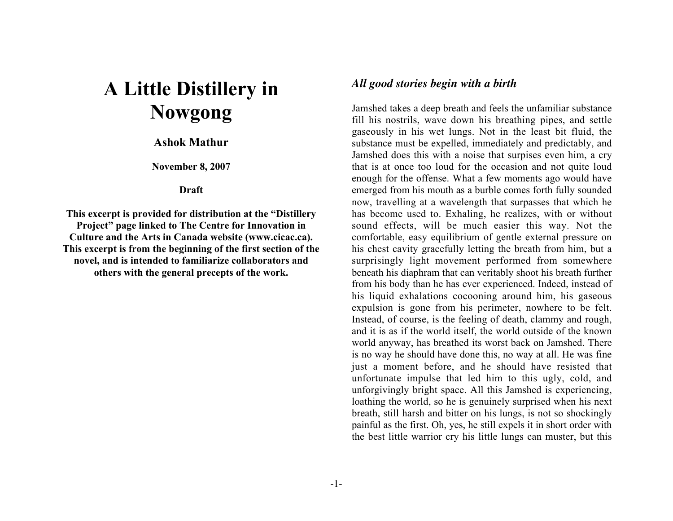# **A Little Distillery in Nowgong**

**Ashok Mathur**

**November 8, 2007**

**Draft**

**This excerpt is provided for distribution at the "Distillery Project" page linked to The Centre for Innovation in Culture and the Arts in Canada website (www.cicac.ca). This excerpt is from the beginning of the first section of the novel, and is intended to familiarize collaborators and others with the general precepts of the work.**

### *All good stories begin with a birth*

Jamshed takes a deep breath and feels the unfamiliar substance fill his nostrils, wave down his breathing pipes, and settle gaseously in his wet lungs. Not in the least bit fluid, the substance must be expelled, immediately and predictably, and Jamshed does this with a noise that surpises even him, a cry that is at once too loud for the occasion and not quite loud enough for the offense. What a few moments ago would have emerged from his mouth as a burble comes forth fully sounded now, travelling at a wavelength that surpasses that which he has become used to. Exhaling, he realizes, with or without sound effects, will be much easier this way. Not the comfortable, easy equilibrium of gentle external pressure on his chest cavity gracefully letting the breath from him, but a surprisingly light movement performed from somewhere beneath his diaphram that can veritably shoot his breath further from his body than he has ever experienced. Indeed, instead of his liquid exhalations cocooning around him, his gaseous expulsion is gone from his perimeter, nowhere to be felt. Instead, of course, is the feeling of death, clammy and rough, and it is as if the world itself, the world outside of the known world anyway, has breathed its worst back on Jamshed. There is no way he should have done this, no way at all. He was fine just a moment before, and he should have resisted that unfortunate impulse that led him to this ugly, cold, and unforgivingly bright space. All this Jamshed is experiencing, loathing the world, so he is genuinely surprised when his next breath, still harsh and bitter on his lungs, is not so shockingly painful as the first. Oh, yes, he still expels it in short order with the best little warrior cry his little lungs can muster, but this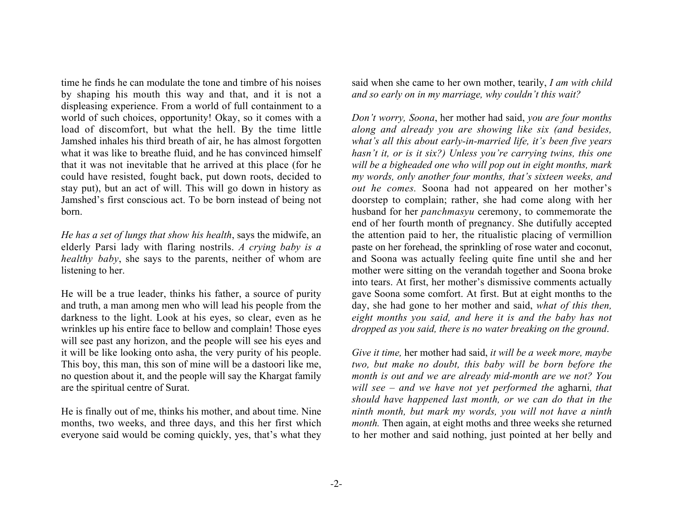time he finds he can modulate the tone and timbre of his noises by shaping his mouth this way and that, and it is not a displeasing experience. From a world of full containment to a world of such choices, opportunity! Okay, so it comes with a load of discomfort, but what the hell. By the time little Jamshed inhales his third breath of air, he has almost forgotten what it was like to breathe fluid, and he has convinced himself that it was not inevitable that he arrived at this place (for he could have resisted, fought back, put down roots, decided to stay put), but an act of will. This will go down in history as Jamshed's first conscious act. To be born instead of being not born.

*He has a set of lungs that show his health*, says the midwife, an elderly Parsi lady with flaring nostrils. *A crying baby is a healthy baby*, she says to the parents, neither of whom are listening to her.

He will be a true leader, thinks his father, a source of purity and truth, a man among men who will lead his people from the darkness to the light. Look at his eyes, so clear, even as he wrinkles up his entire face to bellow and complain! Those eyes will see past any horizon, and the people will see his eyes and it will be like looking onto asha, the very purity of his people. This boy, this man, this son of mine will be a dastoori like me, no question about it, and the people will say the Khargat family are the spiritual centre of Surat.

He is finally out of me, thinks his mother, and about time. Nine months, two weeks, and three days, and this her first which everyone said would be coming quickly, yes, that's what they said when she came to her own mother, tearily, *I am with child and so early on in my marriage, why couldn't this wait?*

*Don't worry, Soona*, her mother had said, *you are four months along and already you are showing like six (and besides, what's all this about early-in-married life, it's been five years hasn't it, or is it six?) Unless you're carrying twins, this one will be a bigheaded one who will pop out in eight months, mark my words, only another four months, that's sixteen weeks, and out he comes.* Soona had not appeared on her mother's doorstep to complain; rather, she had come along with her husband for her *panchmasyu* ceremony, to commemorate the end of her fourth month of pregnancy. She dutifully accepted the attention paid to her, the ritualistic placing of vermillion paste on her forehead, the sprinkling of rose water and coconut, and Soona was actually feeling quite fine until she and her mother were sitting on the verandah together and Soona broke into tears. At first, her mother's dismissive comments actually gave Soona some comfort. At first. But at eight months to the day, she had gone to her mother and said, *what of this then, eight months you said, and here it is and the baby has not dropped as you said, there is no water breaking on the ground*.

*Give it time,* her mother had said, *it will be a week more, maybe two, but make no doubt, this baby will be born before the month is out and we are already mid-month are we not? You will see – and we have not yet performed the* agharni*, that should have happened last month, or we can do that in the ninth month, but mark my words, you will not have a ninth month.* Then again, at eight moths and three weeks she returned to her mother and said nothing, just pointed at her belly and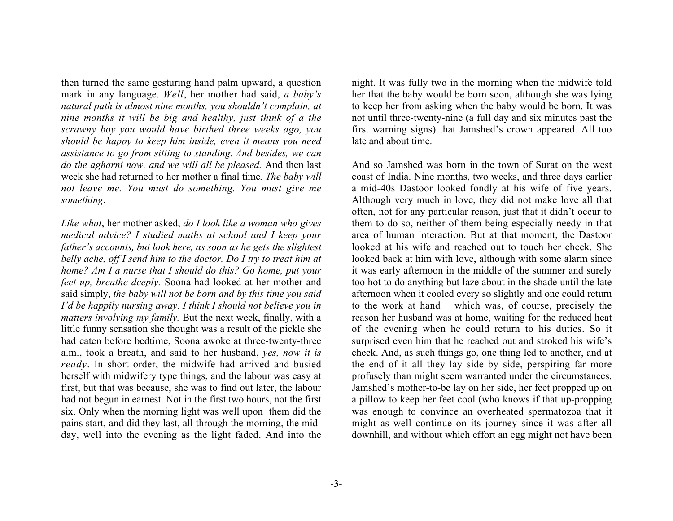then turned the same gesturing hand palm upward, a question mark in any language. *Well*, her mother had said, *a baby's natural path is almost nine months, you shouldn't complain, at nine months it will be big and healthy, just think of a the scrawny boy you would have birthed three weeks ago, you should be happy to keep him inside, even it means you need assistance to go from sitting to standing*. *And besides, we can do the agharni now, and we will all be pleased.* And then last week she had returned to her mother a final time*. The baby will not leave me. You must do something. You must give me something*.

*Like what*, her mother asked, *do I look like a woman who gives medical advice? I studied maths at school and I keep your father's accounts, but look here, as soon as he gets the slightest belly ache, off I send him to the doctor. Do I try to treat him at home? Am I a nurse that I should do this? Go home, put your feet up, breathe deeply.* Soona had looked at her mother and said simply, *the baby will not be born and by this time you said I'd be happily nursing away. I think I should not believe you in matters involving my family.* But the next week, finally, with a little funny sensation she thought was a result of the pickle she had eaten before bedtime, Soona awoke at three-twenty-three a.m., took a breath, and said to her husband, *yes, now it is ready*. In short order, the midwife had arrived and busied herself with midwifery type things, and the labour was easy at first, but that was because, she was to find out later, the labour had not begun in earnest. Not in the first two hours, not the first six. Only when the morning light was well upon them did the pains start, and did they last, all through the morning, the midday, well into the evening as the light faded. And into the

night. It was fully two in the morning when the midwife told her that the baby would be born soon, although she was lying to keep her from asking when the baby would be born. It was not until three-twenty-nine (a full day and six minutes past the first warning signs) that Jamshed's crown appeared. All too late and about time.

And so Jamshed was born in the town of Surat on the west coast of India. Nine months, two weeks, and three days earlier a mid-40s Dastoor looked fondly at his wife of five years. Although very much in love, they did not make love all that often, not for any particular reason, just that it didn't occur to them to do so, neither of them being especially needy in that area of human interaction. But at that moment, the Dastoor looked at his wife and reached out to touch her cheek. She looked back at him with love, although with some alarm since it was early afternoon in the middle of the summer and surely too hot to do anything but laze about in the shade until the late afternoon when it cooled every so slightly and one could return to the work at hand – which was, of course, precisely the reason her husband was at home, waiting for the reduced heat of the evening when he could return to his duties. So it surprised even him that he reached out and stroked his wife's cheek. And, as such things go, one thing led to another, and at the end of it all they lay side by side, perspiring far more profusely than might seem warranted under the circumstances. Jamshed's mother-to-be lay on her side, her feet propped up on a pillow to keep her feet cool (who knows if that up-propping was enough to convince an overheated spermatozoa that it might as well continue on its journey since it was after all downhill, and without which effort an egg might not have been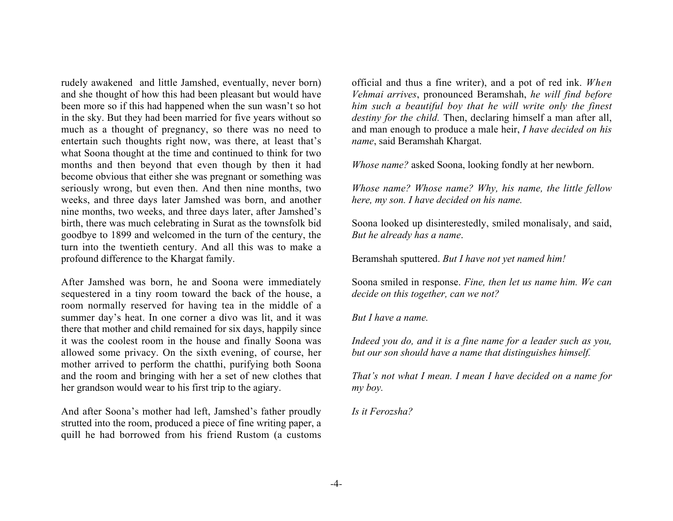rudely awakened and little Jamshed, eventually, never born) and she thought of how this had been pleasant but would have been more so if this had happened when the sun wasn't so hot in the sky. But they had been married for five years without so much as a thought of pregnancy, so there was no need to entertain such thoughts right now, was there, at least that's what Soona thought at the time and continued to think for two months and then beyond that even though by then it had become obvious that either she was pregnant or something was seriously wrong, but even then. And then nine months, two weeks, and three days later Jamshed was born, and another nine months, two weeks, and three days later, after Jamshed's birth, there was much celebrating in Surat as the townsfolk bid goodbye to 1899 and welcomed in the turn of the century, the turn into the twentieth century. And all this was to make a profound difference to the Khargat family.

After Jamshed was born, he and Soona were immediately sequestered in a tiny room toward the back of the house, a room normally reserved for having tea in the middle of a summer day's heat. In one corner a divo was lit, and it was there that mother and child remained for six days, happily since it was the coolest room in the house and finally Soona was allowed some privacy. On the sixth evening, of course, her mother arrived to perform the chatthi, purifying both Soona and the room and bringing with her a set of new clothes that her grandson would wear to his first trip to the agiary.

And after Soona's mother had left, Jamshed's father proudly strutted into the room, produced a piece of fine writing paper, a quill he had borrowed from his friend Rustom (a customs official and thus a fine writer), and a pot of red ink. *When Vehmai arrives*, pronounced Beramshah, *he will find before him such a beautiful boy that he will write only the finest destiny for the child.* Then, declaring himself a man after all, and man enough to produce a male heir, *I have decided on his name*, said Beramshah Khargat.

*Whose name?* asked Soona, looking fondly at her newborn.

*Whose name? Whose name? Why, his name, the little fellow here, my son. I have decided on his name.*

Soona looked up disinterestedly, smiled monalisaly, and said, *But he already has a name*.

Beramshah sputtered. *But I have not yet named him!*

Soona smiled in response. *Fine, then let us name him. We can decide on this together, can we not?*

*But I have a name.*

*Indeed you do, and it is a fine name for a leader such as you, but our son should have a name that distinguishes himself.*

*That's not what I mean. I mean I have decided on a name for my boy.*

*Is it Ferozsha?*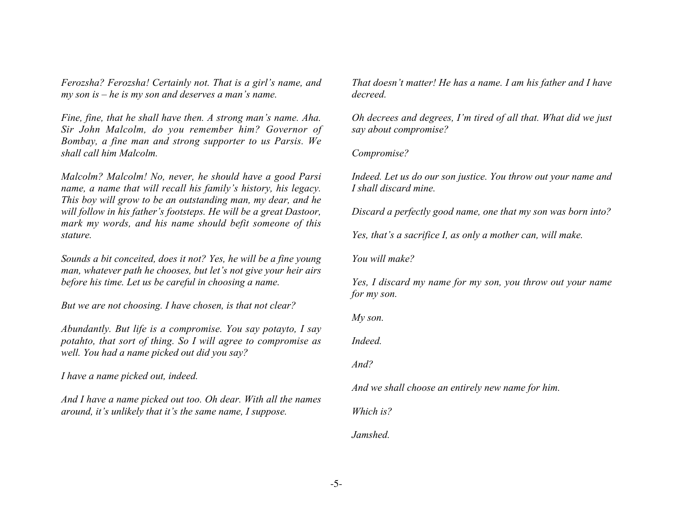*Ferozsha? Ferozsha! Certainly not. That is a girl's name, and my son is – he is my son and deserves a man's name.*

*Fine, fine, that he shall have then. A strong man's name. Aha. Sir John Malcolm, do you remember him? Governor of Bombay, a fine man and strong supporter to us Parsis. We shall call him Malcolm.*

*Malcolm? Malcolm! No, never, he should have a good Parsi name, a name that will recall his family's history, his legacy. This boy will grow to be an outstanding man, my dear, and he will follow in his father's footsteps. He will be a great Dastoor, mark my words, and his name should befit someone of this stature.*

*Sounds a bit conceited, does it not? Yes, he will be a fine young man, whatever path he chooses, but let's not give your heir airs before his time. Let us be careful in choosing a name.*

*But we are not choosing. I have chosen, is that not clear?*

*Abundantly. But life is a compromise. You say potayto, I say potahto, that sort of thing. So I will agree to compromise as well. You had a name picked out did you say?*

*I have a name picked out, indeed.*

*And I have a name picked out too. Oh dear. With all the names around, it's unlikely that it's the same name, I suppose.*

*That doesn't matter! He has a name. I am his father and I have decreed.*

*Oh decrees and degrees, I'm tired of all that. What did we just say about compromise?*

*Compromise?*

*Indeed. Let us do our son justice. You throw out your name and I shall discard mine.*

*Discard a perfectly good name, one that my son was born into?*

*Yes, that's a sacrifice I, as only a mother can, will make.*

*You will make?*

*Yes, I discard my name for my son, you throw out your name for my son.*

*My son.*

*Indeed.*

*And?*

*And we shall choose an entirely new name for him.*

*Which is?*

*Jamshed.*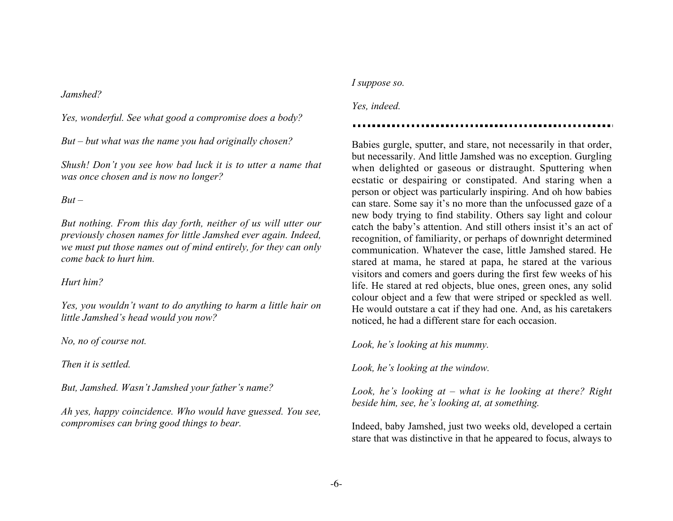### *Jamshed?*

*Yes, wonderful. See what good a compromise does a body?*

*But – but what was the name you had originally chosen?*

*Shush! Don't you see how bad luck it is to utter a name that was once chosen and is now no longer?*

### *But –*

*But nothing. From this day forth, neither of us will utter our previously chosen names for little Jamshed ever again. Indeed, we must put those names out of mind entirely, for they can only come back to hurt him.*

### *Hurt him?*

*Yes, you wouldn't want to do anything to harm a little hair on little Jamshed's head would you now?*

*No, no of course not.*

*Then it is settled.*

*But, Jamshed. Wasn't Jamshed your father's name?*

*Ah yes, happy coincidence. Who would have guessed. You see, compromises can bring good things to bear.*

### *I suppose so.*

### *Yes, indeed.*

Babies gurgle, sputter, and stare, not necessarily in that order, but necessarily. And little Jamshed was no exception. Gurgling when delighted or gaseous or distraught. Sputtering when ecstatic or despairing or constipated. And staring when a person or object was particularly inspiring. And oh how babies can stare. Some say it's no more than the unfocussed gaze of a new body trying to find stability. Others say light and colour catch the baby's attention. And still others insist it's an act of recognition, of familiarity, or perhaps of downright determined communication. Whatever the case, little Jamshed stared. He stared at mama, he stared at papa, he stared at the various visitors and comers and goers during the first few weeks of his life. He stared at red objects, blue ones, green ones, any solid colour object and a few that were striped or speckled as well. He would outstare a cat if they had one. And, as his caretakers noticed, he had a different stare for each occasion.

*Look, he's looking at his mummy.*

*Look, he's looking at the window.*

*Look, he's looking at – what is he looking at there? Right beside him, see, he's looking at, at something.*

Indeed, baby Jamshed, just two weeks old, developed a certain stare that was distinctive in that he appeared to focus, always to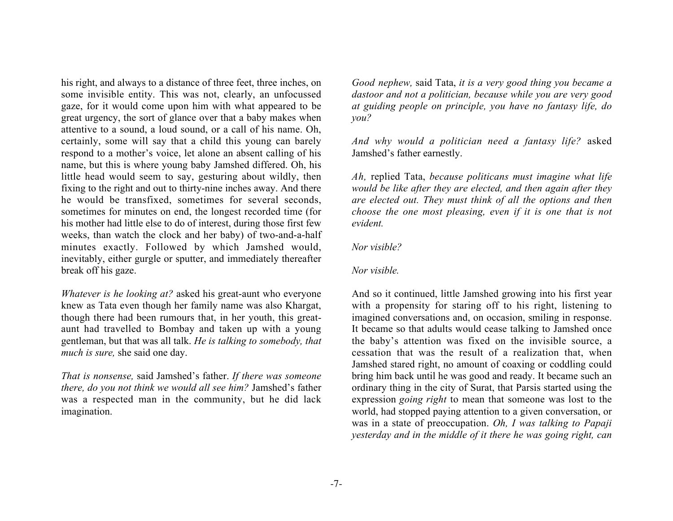his right, and always to a distance of three feet, three inches, on some invisible entity. This was not, clearly, an unfocussed gaze, for it would come upon him with what appeared to be great urgency, the sort of glance over that a baby makes when attentive to a sound, a loud sound, or a call of his name. Oh, certainly, some will say that a child this young can barely respond to a mother's voice, let alone an absent calling of his name, but this is where young baby Jamshed differed. Oh, his little head would seem to say, gesturing about wildly, then fixing to the right and out to thirty-nine inches away. And there he would be transfixed, sometimes for several seconds, sometimes for minutes on end, the longest recorded time (for his mother had little else to do of interest, during those first few weeks, than watch the clock and her baby) of two-and-a-half minutes exactly. Followed by which Jamshed would, inevitably, either gurgle or sputter, and immediately thereafter break off his gaze.

*Whatever is he looking at?* asked his great-aunt who everyone knew as Tata even though her family name was also Khargat, though there had been rumours that, in her youth, this greataunt had travelled to Bombay and taken up with a young gentleman, but that was all talk. *He is talking to somebody, that much is sure,* she said one day.

*That is nonsense,* said Jamshed's father. *If there was someone there, do you not think we would all see him?* Jamshed's father was a respected man in the community, but he did lack imagination.

*Good nephew,* said Tata, *it is a very good thing you became a dastoor and not a politician, because while you are very good at guiding people on principle, you have no fantasy life, do you?*

*And why would a politician need a fantasy life?* asked Jamshed's father earnestly.

*Ah,* replied Tata, *because politicans must imagine what life would be like after they are elected, and then again after they are elected out. They must think of all the options and then choose the one most pleasing, even if it is one that is not evident.*

### *Nor visible?*

### *Nor visible.*

And so it continued, little Jamshed growing into his first year with a propensity for staring off to his right, listening to imagined conversations and, on occasion, smiling in response. It became so that adults would cease talking to Jamshed once the baby's attention was fixed on the invisible source, a cessation that was the result of a realization that, when Jamshed stared right, no amount of coaxing or coddling could bring him back until he was good and ready. It became such an ordinary thing in the city of Surat, that Parsis started using the expression *going right* to mean that someone was lost to the world, had stopped paying attention to a given conversation, or was in a state of preoccupation. *Oh, I was talking to Papaji yesterday and in the middle of it there he was going right, can*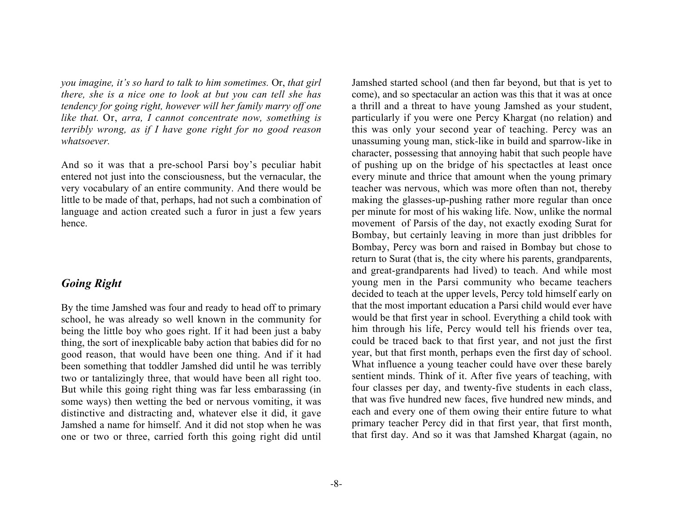*you imagine, it's so hard to talk to him sometimes.* Or, *that girl there, she is a nice one to look at but you can tell she has tendency for going right, however will her family marry off one like that.* Or, *arra, I cannot concentrate now, something is terribly wrong, as if I have gone right for no good reason whatsoever.*

And so it was that a pre-school Parsi boy's peculiar habit entered not just into the consciousness, but the vernacular, the very vocabulary of an entire community. And there would be little to be made of that, perhaps, had not such a combination of language and action created such a furor in just a few years hence.

# *Going Right*

By the time Jamshed was four and ready to head off to primary school, he was already so well known in the community for being the little boy who goes right. If it had been just a baby thing, the sort of inexplicable baby action that babies did for no good reason, that would have been one thing. And if it had been something that toddler Jamshed did until he was terribly two or tantalizingly three, that would have been all right too. But while this going right thing was far less embarassing (in some ways) then wetting the bed or nervous vomiting, it was distinctive and distracting and, whatever else it did, it gave Jamshed a name for himself. And it did not stop when he was one or two or three, carried forth this going right did until

Jamshed started school (and then far beyond, but that is yet to come), and so spectacular an action was this that it was at once a thrill and a threat to have young Jamshed as your student, particularly if you were one Percy Khargat (no relation) and this was only your second year of teaching. Percy was an unassuming young man, stick-like in build and sparrow-like in character, possessing that annoying habit that such people have of pushing up on the bridge of his spectactles at least once every minute and thrice that amount when the young primary teacher was nervous, which was more often than not, thereby making the glasses-up-pushing rather more regular than once per minute for most of his waking life. Now, unlike the normal movement of Parsis of the day, not exactly exoding Surat for Bombay, but certainly leaving in more than just dribbles for Bombay, Percy was born and raised in Bombay but chose to return to Surat (that is, the city where his parents, grandparents, and great-grandparents had lived) to teach. And while most young men in the Parsi community who became teachers decided to teach at the upper levels, Percy told himself early on that the most important education a Parsi child would ever have would be that first year in school. Everything a child took with him through his life, Percy would tell his friends over tea, could be traced back to that first year, and not just the first year, but that first month, perhaps even the first day of school. What influence a young teacher could have over these barely sentient minds. Think of it. After five years of teaching, with four classes per day, and twenty-five students in each class, that was five hundred new faces, five hundred new minds, and each and every one of them owing their entire future to what primary teacher Percy did in that first year, that first month, that first day. And so it was that Jamshed Khargat (again, no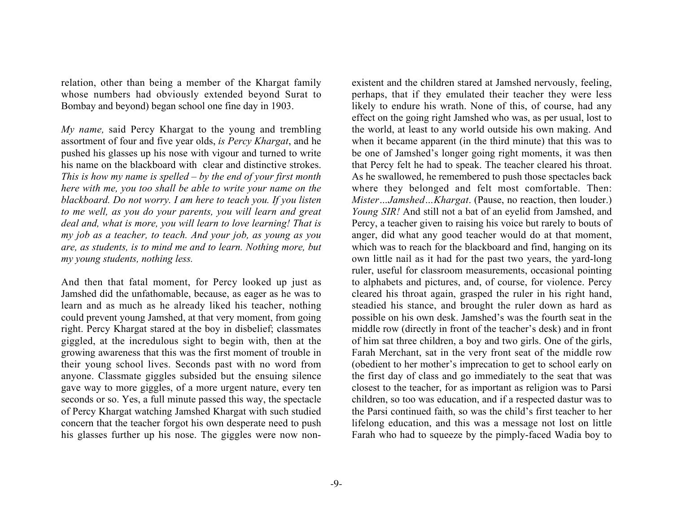relation, other than being a member of the Khargat family whose numbers had obviously extended beyond Surat to Bombay and beyond) began school one fine day in 1903.

*My name,* said Percy Khargat to the young and trembling assortment of four and five year olds, *is Percy Khargat*, and he pushed his glasses up his nose with vigour and turned to write his name on the blackboard with clear and distinctive strokes. *This is how my name is spelled – by the end of your first month here with me, you too shall be able to write your name on the blackboard. Do not worry. I am here to teach you. If you listen to me well, as you do your parents, you will learn and great deal and, what is more, you will learn to love learning! That is my job as a teacher, to teach. And your job, as young as you are, as students, is to mind me and to learn. Nothing more, but my young students, nothing less.*

And then that fatal moment, for Percy looked up just as Jamshed did the unfathomable, because, as eager as he was to learn and as much as he already liked his teacher, nothing could prevent young Jamshed, at that very moment, from going right. Percy Khargat stared at the boy in disbelief; classmates giggled, at the incredulous sight to begin with, then at the growing awareness that this was the first moment of trouble in their young school lives. Seconds past with no word from anyone. Classmate giggles subsided but the ensuing silence gave way to more giggles, of a more urgent nature, every ten seconds or so. Yes, a full minute passed this way, the spectacle of Percy Khargat watching Jamshed Khargat with such studied concern that the teacher forgot his own desperate need to push his glasses further up his nose. The giggles were now nonperhaps, that if they emulated their teacher they were less likely to endure his wrath. None of this, of course, had any effect on the going right Jamshed who was, as per usual, lost to the world, at least to any world outside his own making. And when it became apparent (in the third minute) that this was to be one of Jamshed's longer going right moments, it was then that Percy felt he had to speak. The teacher cleared his throat. As he swallowed, he remembered to push those spectacles back where they belonged and felt most comfortable. Then: *Mister…Jamshed…Khargat*. (Pause, no reaction, then louder.) *Young SIR!* And still not a bat of an eyelid from Jamshed, and Percy, a teacher given to raising his voice but rarely to bouts of anger, did what any good teacher would do at that moment, which was to reach for the blackboard and find, hanging on its own little nail as it had for the past two years, the yard-long ruler, useful for classroom measurements, occasional pointing to alphabets and pictures, and, of course, for violence. Percy cleared his throat again, grasped the ruler in his right hand, steadied his stance, and brought the ruler down as hard as possible on his own desk. Jamshed's was the fourth seat in the middle row (directly in front of the teacher's desk) and in front of him sat three children, a boy and two girls. One of the girls, Farah Merchant, sat in the very front seat of the middle row (obedient to her mother's imprecation to get to school early on the first day of class and go immediately to the seat that was closest to the teacher, for as important as religion was to Parsi children, so too was education, and if a respected dastur was to the Parsi continued faith, so was the child's first teacher to her lifelong education, and this was a message not lost on little Farah who had to squeeze by the pimply-faced Wadia boy to

existent and the children stared at Jamshed nervously, feeling,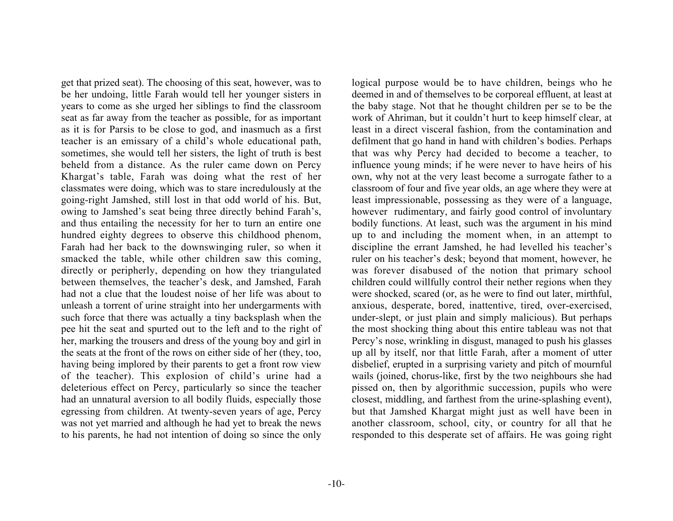get that prized seat). The choosing of this seat, however, was to be her undoing, little Farah would tell her younger sisters in years to come as she urged her siblings to find the classroom seat as far away from the teacher as possible, for as important as it is for Parsis to be close to god, and inasmuch as a first teacher is an emissary of a child's whole educational path, sometimes, she would tell her sisters, the light of truth is best beheld from a distance. As the ruler came down on Percy Khargat's table, Farah was doing what the rest of her classmates were doing, which was to stare incredulously at the going-right Jamshed, still lost in that odd world of his. But, owing to Jamshed's seat being three directly behind Farah's, and thus entailing the necessity for her to turn an entire one hundred eighty degrees to observe this childhood phenom, Farah had her back to the downswinging ruler, so when it smacked the table, while other children saw this coming, directly or peripherly, depending on how they triangulated between themselves, the teacher's desk, and Jamshed, Farah had not a clue that the loudest noise of her life was about to unleash a torrent of urine straight into her undergarments with such force that there was actually a tiny backsplash when the pee hit the seat and spurted out to the left and to the right of her, marking the trousers and dress of the young boy and girl in the seats at the front of the rows on either side of her (they, too, having being implored by their parents to get a front row view of the teacher). This explosion of child's urine had a deleterious effect on Percy, particularly so since the teacher had an unnatural aversion to all bodily fluids, especially those egressing from children. At twenty-seven years of age, Percy was not yet married and although he had yet to break the news to his parents, he had not intention of doing so since the only

logical purpose would be to have children, beings who he deemed in and of themselves to be corporeal effluent, at least at the baby stage. Not that he thought children per se to be the work of Ahriman, but it couldn't hurt to keep himself clear, at least in a direct visceral fashion, from the contamination and defilment that go hand in hand with children's bodies. Perhaps that was why Percy had decided to become a teacher, to influence young minds; if he were never to have heirs of his own, why not at the very least become a surrogate father to a classroom of four and five year olds, an age where they were at least impressionable, possessing as they were of a language, however rudimentary, and fairly good control of involuntary bodily functions. At least, such was the argument in his mind up to and including the moment when, in an attempt to discipline the errant Jamshed, he had levelled his teacher's ruler on his teacher's desk; beyond that moment, however, he was forever disabused of the notion that primary school children could willfully control their nether regions when they were shocked, scared (or, as he were to find out later, mirthful, anxious, desperate, bored, inattentive, tired, over-exercised, under-slept, or just plain and simply malicious). But perhaps the most shocking thing about this entire tableau was not that Percy's nose, wrinkling in disgust, managed to push his glasses up all by itself, nor that little Farah, after a moment of utter disbelief, erupted in a surprising variety and pitch of mournful wails (joined, chorus-like, first by the two neighbours she had pissed on, then by algorithmic succession, pupils who were closest, middling, and farthest from the urine-splashing event), but that Jamshed Khargat might just as well have been in another classroom, school, city, or country for all that he responded to this desperate set of affairs. He was going right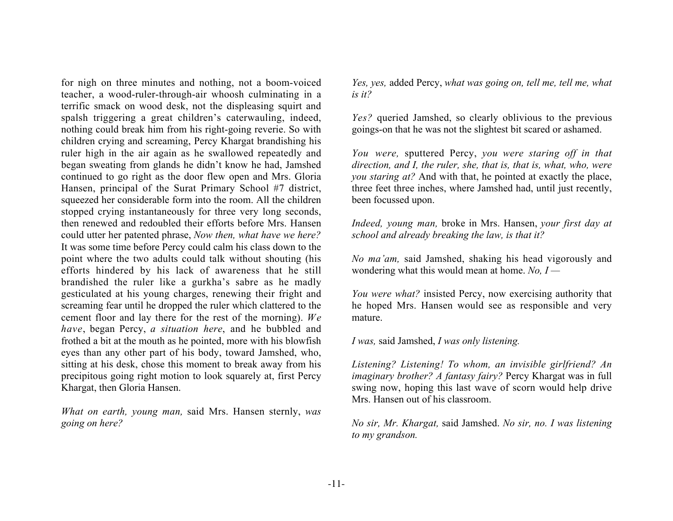for nigh on three minutes and nothing, not a boom-voiced teacher, a wood-ruler-through-air whoosh culminating in a terrific smack on wood desk, not the displeasing squirt and spalsh triggering a great children's caterwauling, indeed, nothing could break him from his right-going reverie. So with children crying and screaming, Percy Khargat brandishing his ruler high in the air again as he swallowed repeatedly and began sweating from glands he didn't know he had, Jamshed continued to go right as the door flew open and Mrs. Gloria Hansen, principal of the Surat Primary School #7 district, squeezed her considerable form into the room. All the children stopped crying instantaneously for three very long seconds, then renewed and redoubled their efforts before Mrs. Hansen could utter her patented phrase, *Now then, what have we here?* It was some time before Percy could calm his class down to the point where the two adults could talk without shouting (his efforts hindered by his lack of awareness that he still brandished the ruler like a gurkha's sabre as he madly gesticulated at his young charges, renewing their fright and screaming fear until he dropped the ruler which clattered to the cement floor and lay there for the rest of the morning). *We have*, began Percy, *a situation here*, and he bubbled and frothed a bit at the mouth as he pointed, more with his blowfish eyes than any other part of his body, toward Jamshed, who, sitting at his desk, chose this moment to break away from his precipitous going right motion to look squarely at, first Percy Khargat, then Gloria Hansen.

*What on earth, young man,* said Mrs. Hansen sternly, *was going on here?*

*Yes, yes,* added Percy, *what was going on, tell me, tell me, what is it?*

*Yes?* queried Jamshed, so clearly oblivious to the previous goings-on that he was not the slightest bit scared or ashamed.

*You were,* sputtered Percy, *you were staring off in that direction, and I, the ruler, she, that is, that is, what, who, were you staring at?* And with that, he pointed at exactly the place, three feet three inches, where Jamshed had, until just recently, been focussed upon.

*Indeed, young man,* broke in Mrs. Hansen, *your first day at school and already breaking the law, is that it?*

*No ma'am,* said Jamshed, shaking his head vigorously and wondering what this would mean at home. *No, I —*

*You were what?* insisted Percy, now exercising authority that he hoped Mrs. Hansen would see as responsible and very mature.

*I was,* said Jamshed, *I was only listening.*

*Listening? Listening! To whom, an invisible girlfriend? An imaginary brother? A fantasy fairy?* Percy Khargat was in full swing now, hoping this last wave of scorn would help drive Mrs. Hansen out of his classroom.

*No sir, Mr. Khargat,* said Jamshed. *No sir, no. I was listening to my grandson.*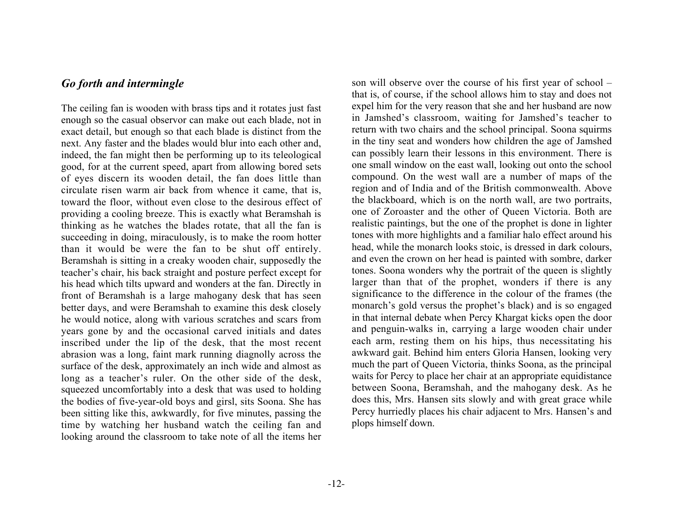## *Go forth and intermingle*

The ceiling fan is wooden with brass tips and it rotates just fast enough so the casual observor can make out each blade, not in exact detail, but enough so that each blade is distinct from the next. Any faster and the blades would blur into each other and, indeed, the fan might then be performing up to its teleological good, for at the current speed, apart from allowing bored sets of eyes discern its wooden detail, the fan does little than circulate risen warm air back from whence it came, that is, toward the floor, without even close to the desirous effect of providing a cooling breeze. This is exactly what Beramshah is thinking as he watches the blades rotate, that all the fan is succeeding in doing, miraculously, is to make the room hotter than it would be were the fan to be shut off entirely. Beramshah is sitting in a creaky wooden chair, supposedly the teacher's chair, his back straight and posture perfect except for his head which tilts upward and wonders at the fan. Directly in front of Beramshah is a large mahogany desk that has seen better days, and were Beramshah to examine this desk closely he would notice, along with various scratches and scars from years gone by and the occasional carved initials and dates inscribed under the lip of the desk, that the most recent abrasion was a long, faint mark running diagnolly across the surface of the desk, approximately an inch wide and almost as long as a teacher's ruler. On the other side of the desk, squeezed uncomfortably into a desk that was used to holding the bodies of five-year-old boys and girsl, sits Soona. She has been sitting like this, awkwardly, for five minutes, passing the time by watching her husband watch the ceiling fan and looking around the classroom to take note of all the items her

son will observe over the course of his first year of school – that is, of course, if the school allows him to stay and does not expel him for the very reason that she and her husband are now in Jamshed's classroom, waiting for Jamshed's teacher to return with two chairs and the school principal. Soona squirms in the tiny seat and wonders how children the age of Jamshed can possibly learn their lessons in this environment. There is one small window on the east wall, looking out onto the school compound. On the west wall are a number of maps of the region and of India and of the British commonwealth. Above the blackboard, which is on the north wall, are two portraits, one of Zoroaster and the other of Queen Victoria. Both are realistic paintings, but the one of the prophet is done in lighter tones with more highlights and a familiar halo effect around his head, while the monarch looks stoic, is dressed in dark colours, and even the crown on her head is painted with sombre, darker tones. Soona wonders why the portrait of the queen is slightly larger than that of the prophet, wonders if there is any significance to the difference in the colour of the frames (the monarch's gold versus the prophet's black) and is so engaged in that internal debate when Percy Khargat kicks open the door and penguin-walks in, carrying a large wooden chair under each arm, resting them on his hips, thus necessitating his awkward gait. Behind him enters Gloria Hansen, looking very much the part of Queen Victoria, thinks Soona, as the principal waits for Percy to place her chair at an appropriate equidistance between Soona, Beramshah, and the mahogany desk. As he does this, Mrs. Hansen sits slowly and with great grace while Percy hurriedly places his chair adjacent to Mrs. Hansen's and plops himself down.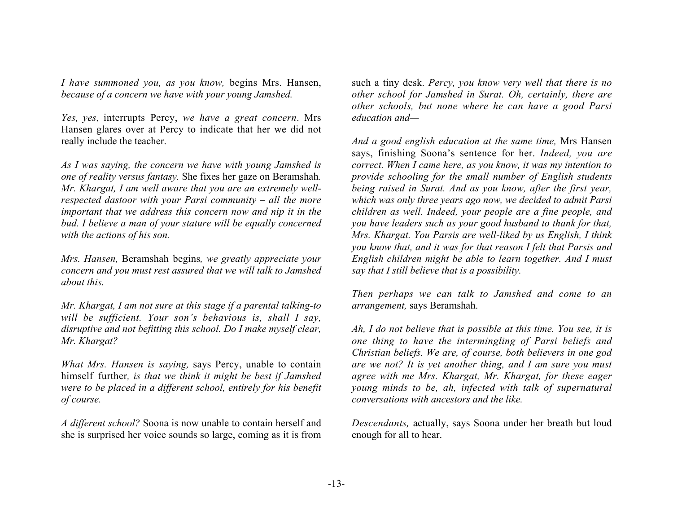*I have summoned you, as you know,* begins Mrs. Hansen, *because of a concern we have with your young Jamshed.*

*Yes, yes,* interrupts Percy, *we have a great concern*. Mrs Hansen glares over at Percy to indicate that her we did not really include the teacher.

*As I was saying, the concern we have with young Jamshed is one of reality versus fantasy.* She fixes her gaze on Beramshah*. Mr. Khargat, I am well aware that you are an extremely wellrespected dastoor with your Parsi community – all the more important that we address this concern now and nip it in the bud. I believe a man of your stature will be equally concerned with the actions of his son.*

*Mrs. Hansen,* Beramshah begins*, we greatly appreciate your concern and you must rest assured that we will talk to Jamshed about this.*

*Mr. Khargat, I am not sure at this stage if a parental talking-to will be sufficient. Your son's behavious is, shall I say, disruptive and not befitting this school. Do I make myself clear, Mr. Khargat?*

*What Mrs. Hansen is saying,* says Percy, unable to contain himself further*, is that we think it might be best if Jamshed were to be placed in a different school, entirely for his benefit of course.*

*A different school?* Soona is now unable to contain herself and she is surprised her voice sounds so large, coming as it is from such a tiny desk. *Percy, you know very well that there is no other school for Jamshed in Surat. Oh, certainly, there are other schools, but none where he can have a good Parsi education and—*

*And a good english education at the same time,* Mrs Hansen says, finishing Soona's sentence for her. *Indeed, you are correct. When I came here, as you know, it was my intention to provide schooling for the small number of English students being raised in Surat. And as you know, after the first year, which was only three years ago now, we decided to admit Parsi children as well. Indeed, your people are a fine people, and you have leaders such as your good husband to thank for that, Mrs. Khargat. You Parsis are well-liked by us English, I think you know that, and it was for that reason I felt that Parsis and English children might be able to learn together. And I must say that I still believe that is a possibility.*

*Then perhaps we can talk to Jamshed and come to an arrangement,* says Beramshah.

*Ah, I do not believe that is possible at this time. You see, it is one thing to have the intermingling of Parsi beliefs and Christian beliefs. We are, of course, both believers in one god are we not? It is yet another thing, and I am sure you must agree with me Mrs. Khargat, Mr. Khargat, for these eager young minds to be, ah, infected with talk of supernatural conversations with ancestors and the like.*

*Descendants,* actually, says Soona under her breath but loud enough for all to hear.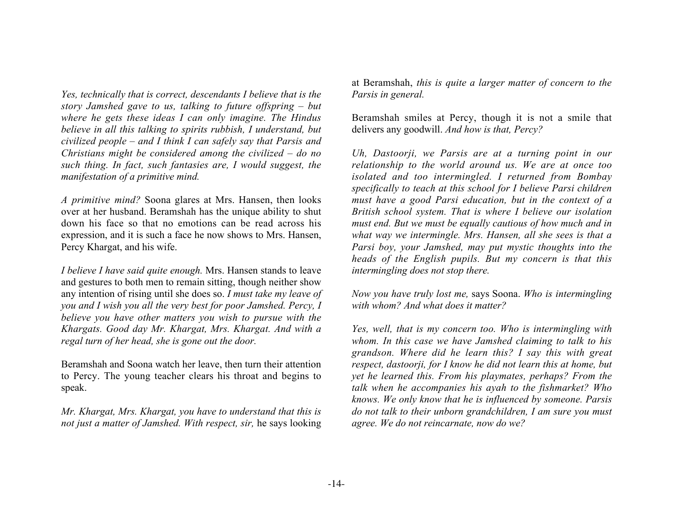*Yes, technically that is correct, descendants I believe that is the story Jamshed gave to us, talking to future offspring – but where he gets these ideas I can only imagine. The Hindus believe in all this talking to spirits rubbish, I understand, but civilized people – and I think I can safely say that Parsis and Christians might be considered among the civilized – do no such thing. In fact, such fantasies are, I would suggest, the manifestation of a primitive mind.*

*A primitive mind?* Soona glares at Mrs. Hansen, then looks over at her husband. Beramshah has the unique ability to shut down his face so that no emotions can be read across his expression, and it is such a face he now shows to Mrs. Hansen, Percy Khargat, and his wife.

*I believe I have said quite enough.* Mrs. Hansen stands to leave and gestures to both men to remain sitting, though neither show any intention of rising until she does so. *I must take my leave of you and I wish you all the very best for poor Jamshed. Percy, I believe you have other matters you wish to pursue with the Khargats. Good day Mr. Khargat, Mrs. Khargat. And with a regal turn of her head, she is gone out the door.*

Beramshah and Soona watch her leave, then turn their attention to Percy. The young teacher clears his throat and begins to speak.

*Mr. Khargat, Mrs. Khargat, you have to understand that this is not just a matter of Jamshed. With respect, sir,* he says looking

at Beramshah, *this is quite a larger matter of concern to the Parsis in general.*

Beramshah smiles at Percy, though it is not a smile that delivers any goodwill. *And how is that, Percy?*

*Uh, Dastoorji, we Parsis are at a turning point in our relationship to the world around us. We are at once too isolated and too intermingled. I returned from Bombay specifically to teach at this school for I believe Parsi children must have a good Parsi education, but in the context of a British school system. That is where I believe our isolation must end. But we must be equally cautious of how much and in what way we intermingle. Mrs. Hansen, all she sees is that a Parsi boy, your Jamshed, may put mystic thoughts into the heads of the English pupils. But my concern is that this intermingling does not stop there.*

*Now you have truly lost me,* says Soona. *Who is intermingling with whom? And what does it matter?*

*Yes, well, that is my concern too. Who is intermingling with whom. In this case we have Jamshed claiming to talk to his grandson. Where did he learn this? I say this with great respect, dastoorji, for I know he did not learn this at home, but yet he learned this. From his playmates, perhaps? From the talk when he accompanies his ayah to the fishmarket? Who knows. We only know that he is influenced by someone. Parsis do not talk to their unborn grandchildren, I am sure you must agree. We do not reincarnate, now do we?*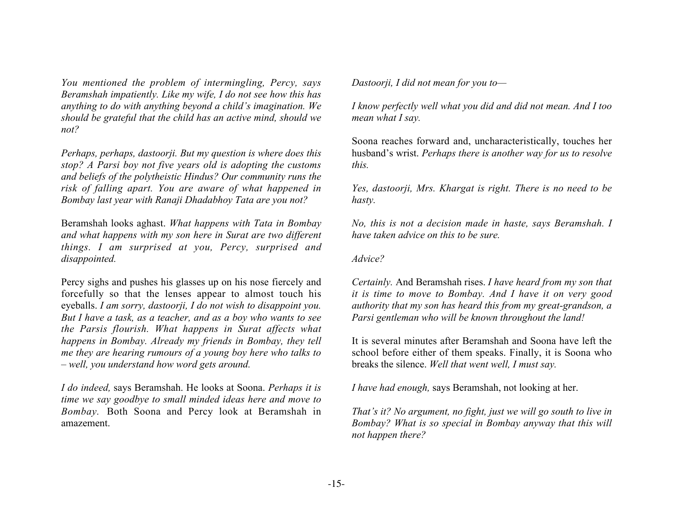*You mentioned the problem of intermingling, Percy, says Beramshah impatiently. Like my wife, I do not see how this has anything to do with anything beyond a child's imagination. We should be grateful that the child has an active mind, should we not?*

*Perhaps, perhaps, dastoorji. But my question is where does this stop? A Parsi boy not five years old is adopting the customs and beliefs of the polytheistic Hindus? Our community runs the risk of falling apart. You are aware of what happened in Bombay last year with Ranaji Dhadabhoy Tata are you not?*

Beramshah looks aghast. *What happens with Tata in Bombay and what happens with my son here in Surat are two different things. I am surprised at you, Percy, surprised and disappointed.*

Percy sighs and pushes his glasses up on his nose fiercely and forcefully so that the lenses appear to almost touch his eyeballs. *I am sorry, dastoorji, I do not wish to disappoint you. But I have a task, as a teacher, and as a boy who wants to see the Parsis flourish. What happens in Surat affects what happens in Bombay. Already my friends in Bombay, they tell me they are hearing rumours of a young boy here who talks to – well, you understand how word gets around.*

*I do indeed,* says Beramshah. He looks at Soona. *Perhaps it is time we say goodbye to small minded ideas here and move to Bombay.* Both Soona and Percy look at Beramshah in amazement.

*Dastoorji, I did not mean for you to—*

*I know perfectly well what you did and did not mean. And I too mean what I say.*

Soona reaches forward and, uncharacteristically, touches her husband's wrist. *Perhaps there is another way for us to resolve this.*

*Yes, dastoorji, Mrs. Khargat is right. There is no need to be hasty.*

*No, this is not a decision made in haste, says Beramshah. I have taken advice on this to be sure.*

*Advice?*

*Certainly.* And Beramshah rises. *I have heard from my son that it is time to move to Bombay. And I have it on very good authority that my son has heard this from my great-grandson, a Parsi gentleman who will be known throughout the land!*

It is several minutes after Beramshah and Soona have left the school before either of them speaks. Finally, it is Soona who breaks the silence. *Well that went well, I must say.*

*I have had enough,* says Beramshah, not looking at her.

*That's it? No argument, no fight, just we will go south to live in Bombay? What is so special in Bombay anyway that this will not happen there?*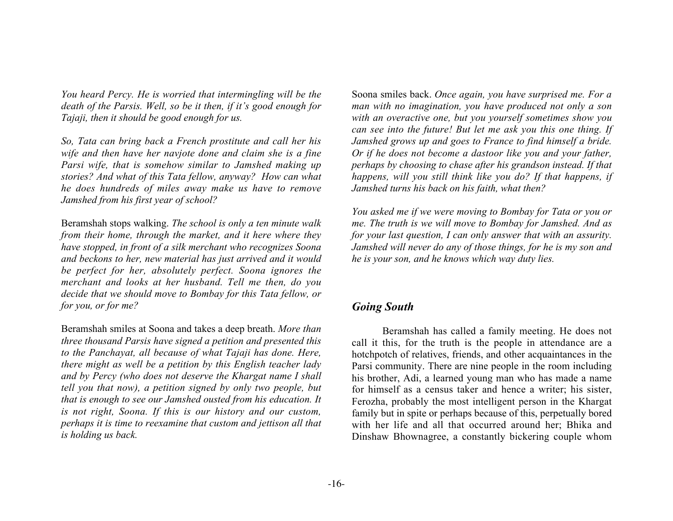*You heard Percy. He is worried that intermingling will be the death of the Parsis. Well, so be it then, if it's good enough for Tajaji, then it should be good enough for us.*

*So, Tata can bring back a French prostitute and call her his wife and then have her navjote done and claim she is a fine Parsi wife, that is somehow similar to Jamshed making up stories? And what of this Tata fellow, anyway? How can what he does hundreds of miles away make us have to remove Jamshed from his first year of school?*

Beramshah stops walking. *The school is only a ten minute walk from their home, through the market, and it here where they have stopped, in front of a silk merchant who recognizes Soona and beckons to her, new material has just arrived and it would be perfect for her, absolutely perfect. Soona ignores the merchant and looks at her husband. Tell me then, do you decide that we should move to Bombay for this Tata fellow, or for you, or for me?*

Beramshah smiles at Soona and takes a deep breath. *More than three thousand Parsis have signed a petition and presented this to the Panchayat, all because of what Tajaji has done. Here, there might as well be a petition by this English teacher lady and by Percy (who does not deserve the Khargat name I shall tell you that now), a petition signed by only two people, but that is enough to see our Jamshed ousted from his education. It is not right, Soona. If this is our history and our custom, perhaps it is time to reexamine that custom and jettison all that is holding us back.*

Soona smiles back. *Once again, you have surprised me. For a man with no imagination, you have produced not only a son with an overactive one, but you yourself sometimes show you can see into the future! But let me ask you this one thing. If Jamshed grows up and goes to France to find himself a bride. Or if he does not become a dastoor like you and your father, perhaps by choosing to chase after his grandson instead. If that happens, will you still think like you do? If that happens, if Jamshed turns his back on his faith, what then?*

*You asked me if we were moving to Bombay for Tata or you or me. The truth is we will move to Bombay for Jamshed. And as for your last question, I can only answer that with an assurity. Jamshed will never do any of those things, for he is my son and he is your son, and he knows which way duty lies.*

# *Going South*

Beramshah has called a family meeting. He does not call it this, for the truth is the people in attendance are a hotchpotch of relatives, friends, and other acquaintances in the Parsi community. There are nine people in the room including his brother, Adi, a learned young man who has made a name for himself as a census taker and hence a writer; his sister, Ferozha, probably the most intelligent person in the Khargat family but in spite or perhaps because of this, perpetually bored with her life and all that occurred around her; Bhika and Dinshaw Bhownagree, a constantly bickering couple whom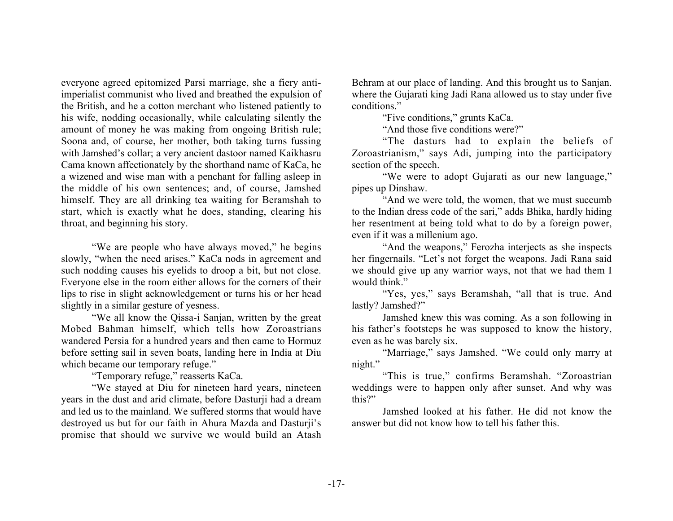everyone agreed epitomized Parsi marriage, she a fiery antiimperialist communist who lived and breathed the expulsion of the British, and he a cotton merchant who listened patiently to his wife, nodding occasionally, while calculating silently the amount of money he was making from ongoing British rule; Soona and, of course, her mother, both taking turns fussing with Jamshed's collar; a very ancient dastoor named Kaikhasru Cama known affectionately by the shorthand name of KaCa, he a wizened and wise man with a penchant for falling asleep in the middle of his own sentences; and, of course, Jamshed himself. They are all drinking tea waiting for Beramshah to start, which is exactly what he does, standing, clearing his throat, and beginning his story.

"We are people who have always moved," he begins slowly, "when the need arises." KaCa nods in agreement and such nodding causes his eyelids to droop a bit, but not close. Everyone else in the room either allows for the corners of their lips to rise in slight acknowledgement or turns his or her head slightly in a similar gesture of yesness.

"We all know the Qissa-i Sanjan, written by the great Mobed Bahman himself, which tells how Zoroastrians wandered Persia for a hundred years and then came to Hormuz before setting sail in seven boats, landing here in India at Diu which became our temporary refuge."

"Temporary refuge," reasserts KaCa.

"We stayed at Diu for nineteen hard years, nineteen years in the dust and arid climate, before Dasturji had a dream and led us to the mainland. We suffered storms that would have destroyed us but for our faith in Ahura Mazda and Dasturji's promise that should we survive we would build an Atash Behram at our place of landing. And this brought us to Sanjan. where the Gujarati king Jadi Rana allowed us to stay under five conditions."

"Five conditions," grunts KaCa.

"And those five conditions were?"

"The dasturs had to explain the beliefs of Zoroastrianism," says Adi, jumping into the participatory section of the speech.

"We were to adopt Gujarati as our new language," pipes up Dinshaw.

"And we were told, the women, that we must succumb to the Indian dress code of the sari," adds Bhika, hardly hiding her resentment at being told what to do by a foreign power, even if it was a millenium ago.

"And the weapons," Ferozha interjects as she inspects her fingernails. "Let's not forget the weapons. Jadi Rana said we should give up any warrior ways, not that we had them I would think."

"Yes, yes," says Beramshah, "all that is true. And lastly? Jamshed?"

Jamshed knew this was coming. As a son following in his father's footsteps he was supposed to know the history, even as he was barely six.

"Marriage," says Jamshed. "We could only marry at night."

"This is true," confirms Beramshah. "Zoroastrian weddings were to happen only after sunset. And why was this?"

Jamshed looked at his father. He did not know the answer but did not know how to tell his father this.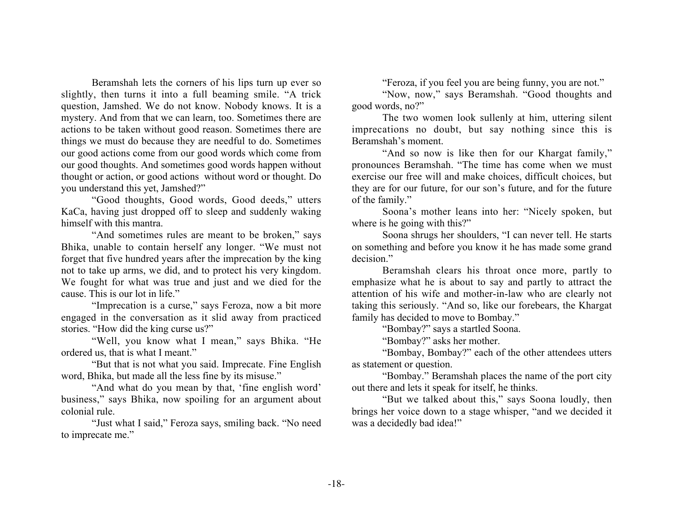Beramshah lets the corners of his lips turn up ever so slightly, then turns it into a full beaming smile. "A trick question, Jamshed. We do not know. Nobody knows. It is a mystery. And from that we can learn, too. Sometimes there are actions to be taken without good reason. Sometimes there are things we must do because they are needful to do. Sometimes our good actions come from our good words which come from our good thoughts. And sometimes good words happen without thought or action, or good actions without word or thought. Do you understand this yet, Jamshed?"

"Good thoughts, Good words, Good deeds," utters KaCa, having just dropped off to sleep and suddenly waking himself with this mantra.

"And sometimes rules are meant to be broken," says Bhika, unable to contain herself any longer. "We must not forget that five hundred years after the imprecation by the king not to take up arms, we did, and to protect his very kingdom. We fought for what was true and just and we died for the cause. This is our lot in life."

"Imprecation is a curse," says Feroza, now a bit more engaged in the conversation as it slid away from practiced stories. "How did the king curse us?"

"Well, you know what I mean," says Bhika. "He ordered us, that is what I meant."

"But that is not what you said. Imprecate. Fine English word, Bhika, but made all the less fine by its misuse."

"And what do you mean by that, 'fine english word' business," says Bhika, now spoiling for an argument about colonial rule.

"Just what I said," Feroza says, smiling back. "No need to imprecate me."

"Feroza, if you feel you are being funny, you are not."

"Now, now," says Beramshah. "Good thoughts and good words, no?"

The two women look sullenly at him, uttering silent imprecations no doubt, but say nothing since this is Beramshah's moment.

"And so now is like then for our Khargat family," pronounces Beramshah. "The time has come when we must exercise our free will and make choices, difficult choices, but they are for our future, for our son's future, and for the future of the family."

Soona's mother leans into her: "Nicely spoken, but where is he going with this?"

Soona shrugs her shoulders, "I can never tell. He starts on something and before you know it he has made some grand decision."

Beramshah clears his throat once more, partly to emphasize what he is about to say and partly to attract the attention of his wife and mother-in-law who are clearly not taking this seriously. "And so, like our forebears, the Khargat family has decided to move to Bombay."

"Bombay?" says a startled Soona.

"Bombay?" asks her mother.

"Bombay, Bombay?" each of the other attendees utters as statement or question.

"Bombay." Beramshah places the name of the port city out there and lets it speak for itself, he thinks.

"But we talked about this," says Soona loudly, then brings her voice down to a stage whisper, "and we decided it was a decidedly bad idea!"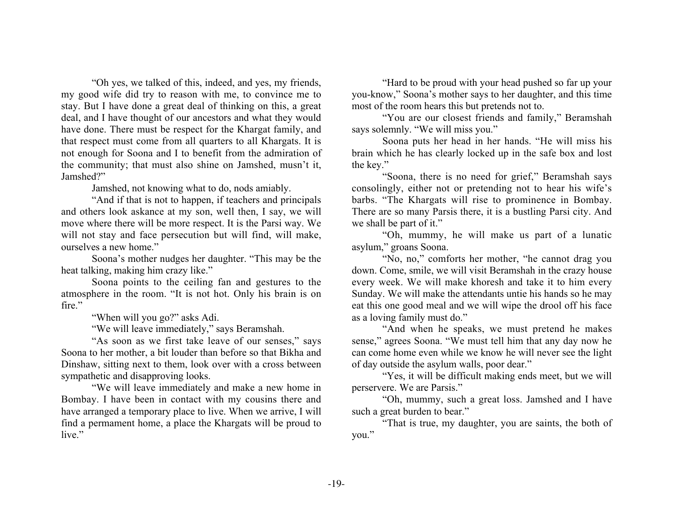"Oh yes, we talked of this, indeed, and yes, my friends, my good wife did try to reason with me, to convince me to stay. But I have done a great deal of thinking on this, a great deal, and I have thought of our ancestors and what they would have done. There must be respect for the Khargat family, and that respect must come from all quarters to all Khargats. It is not enough for Soona and I to benefit from the admiration of the community; that must also shine on Jamshed, musn't it, Jamshed?"

Jamshed, not knowing what to do, nods amiably.

"And if that is not to happen, if teachers and principals and others look askance at my son, well then, I say, we will move where there will be more respect. It is the Parsi way. We will not stay and face persecution but will find, will make, ourselves a new home."

Soona's mother nudges her daughter. "This may be the heat talking, making him crazy like."

Soona points to the ceiling fan and gestures to the atmosphere in the room. "It is not hot. Only his brain is on fire"

"When will you go?" asks Adi.

"We will leave immediately," says Beramshah.

"As soon as we first take leave of our senses," says Soona to her mother, a bit louder than before so that Bikha and Dinshaw, sitting next to them, look over with a cross between sympathetic and disapproving looks.

"We will leave immediately and make a new home in Bombay. I have been in contact with my cousins there and have arranged a temporary place to live. When we arrive, I will find a permament home, a place the Khargats will be proud to live."

"Hard to be proud with your head pushed so far up your you-know," Soona's mother says to her daughter, and this time most of the room hears this but pretends not to.

"You are our closest friends and family," Beramshah says solemnly. "We will miss you."

Soona puts her head in her hands. "He will miss his brain which he has clearly locked up in the safe box and lost the key."

"Soona, there is no need for grief," Beramshah says consolingly, either not or pretending not to hear his wife's barbs. "The Khargats will rise to prominence in Bombay. There are so many Parsis there, it is a bustling Parsi city. And we shall be part of it."

"Oh, mummy, he will make us part of a lunatic asylum," groans Soona.

"No, no," comforts her mother, "he cannot drag you down. Come, smile, we will visit Beramshah in the crazy house every week. We will make khoresh and take it to him every Sunday. We will make the attendants untie his hands so he may eat this one good meal and we will wipe the drool off his face as a loving family must do."

"And when he speaks, we must pretend he makes sense," agrees Soona. "We must tell him that any day now he can come home even while we know he will never see the light of day outside the asylum walls, poor dear."

"Yes, it will be difficult making ends meet, but we will perservere. We are Parsis."

"Oh, mummy, such a great loss. Jamshed and I have such a great burden to bear."

"That is true, my daughter, you are saints, the both of you."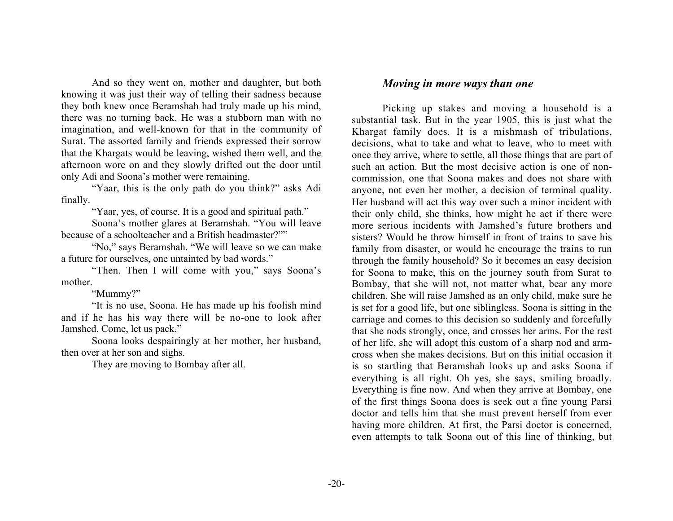And so they went on, mother and daughter, but both knowing it was just their way of telling their sadness because they both knew once Beramshah had truly made up his mind, there was no turning back. He was a stubborn man with no imagination, and well-known for that in the community of Surat. The assorted family and friends expressed their sorrow that the Khargats would be leaving, wished them well, and the afternoon wore on and they slowly drifted out the door until only Adi and Soona's mother were remaining.

"Yaar, this is the only path do you think?" asks Adi finally.

"Yaar, yes, of course. It is a good and spiritual path."

Soona's mother glares at Beramshah. "You will leave because of a schoolteacher and a British headmaster?""

"No," says Beramshah. "We will leave so we can make a future for ourselves, one untainted by bad words."

"Then. Then I will come with you," says Soona's mother.

"Mummy?"

"It is no use, Soona. He has made up his foolish mind and if he has his way there will be no-one to look after Jamshed. Come, let us pack."

Soona looks despairingly at her mother, her husband, then over at her son and sighs.

They are moving to Bombay after all.

### *Moving in more ways than one*

Picking up stakes and moving a household is a substantial task. But in the year 1905, this is just what the Khargat family does. It is a mishmash of tribulations, decisions, what to take and what to leave, who to meet with once they arrive, where to settle, all those things that are part of such an action. But the most decisive action is one of noncommission, one that Soona makes and does not share with anyone, not even her mother, a decision of terminal quality. Her husband will act this way over such a minor incident with their only child, she thinks, how might he act if there were more serious incidents with Jamshed's future brothers and sisters? Would he throw himself in front of trains to save his family from disaster, or would he encourage the trains to run through the family household? So it becomes an easy decision for Soona to make, this on the journey south from Surat to Bombay, that she will not, not matter what, bear any more children. She will raise Jamshed as an only child, make sure he is set for a good life, but one siblingless. Soona is sitting in the carriage and comes to this decision so suddenly and forcefully that she nods strongly, once, and crosses her arms. For the rest of her life, she will adopt this custom of a sharp nod and armcross when she makes decisions. But on this initial occasion it is so startling that Beramshah looks up and asks Soona if everything is all right. Oh yes, she says, smiling broadly. Everything is fine now. And when they arrive at Bombay, one of the first things Soona does is seek out a fine young Parsi doctor and tells him that she must prevent herself from ever having more children. At first, the Parsi doctor is concerned, even attempts to talk Soona out of this line of thinking, but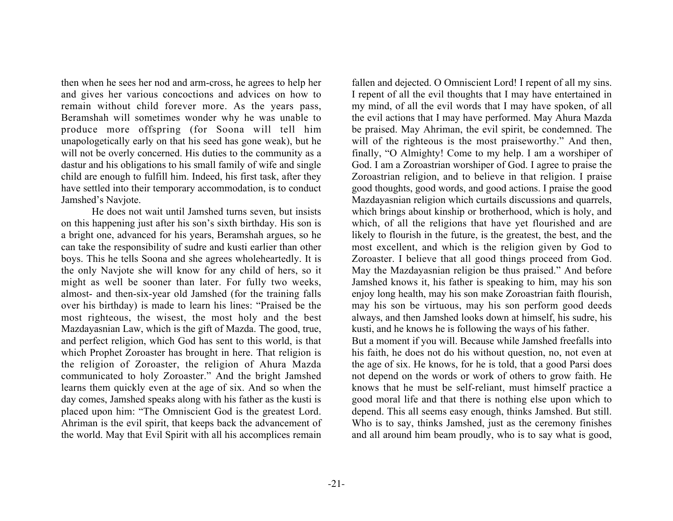then when he sees her nod and arm-cross, he agrees to help her and gives her various concoctions and advices on how to remain without child forever more. As the years pass, Beramshah will sometimes wonder why he was unable to produce more offspring (for Soona will tell him unapologetically early on that his seed has gone weak), but he will not be overly concerned. His duties to the community as a dastur and his obligations to his small family of wife and single child are enough to fulfill him. Indeed, his first task, after they have settled into their temporary accommodation, is to conduct Jamshed's Navjote.

He does not wait until Jamshed turns seven, but insists on this happening just after his son's sixth birthday. His son is a bright one, advanced for his years, Beramshah argues, so he can take the responsibility of sudre and kusti earlier than other boys. This he tells Soona and she agrees wholeheartedly. It is the only Navjote she will know for any child of hers, so it might as well be sooner than later. For fully two weeks, almost- and then-six-year old Jamshed (for the training falls over his birthday) is made to learn his lines: "Praised be the most righteous, the wisest, the most holy and the best Mazdayasnian Law, which is the gift of Mazda. The good, true, and perfect religion, which God has sent to this world, is that which Prophet Zoroaster has brought in here. That religion is the religion of Zoroaster, the religion of Ahura Mazda communicated to holy Zoroaster." And the bright Jamshed learns them quickly even at the age of six. And so when the day comes, Jamshed speaks along with his father as the kusti is placed upon him: "The Omniscient God is the greatest Lord. Ahriman is the evil spirit, that keeps back the advancement of the world. May that Evil Spirit with all his accomplices remain

fallen and dejected. O Omniscient Lord! I repent of all my sins. I repent of all the evil thoughts that I may have entertained in my mind, of all the evil words that I may have spoken, of all the evil actions that I may have performed. May Ahura Mazda be praised. May Ahriman, the evil spirit, be condemned. The will of the righteous is the most praiseworthy." And then, finally, "O Almighty! Come to my help. I am a worshiper of God. I am a Zoroastrian worshiper of God. I agree to praise the Zoroastrian religion, and to believe in that religion. I praise good thoughts, good words, and good actions. I praise the good Mazdayasnian religion which curtails discussions and quarrels, which brings about kinship or brotherhood, which is holy, and which, of all the religions that have yet flourished and are likely to flourish in the future, is the greatest, the best, and the most excellent, and which is the religion given by God to Zoroaster. I believe that all good things proceed from God. May the Mazdayasnian religion be thus praised." And before Jamshed knows it, his father is speaking to him, may his son enjoy long health, may his son make Zoroastrian faith flourish, may his son be virtuous, may his son perform good deeds always, and then Jamshed looks down at himself, his sudre, his kusti, and he knows he is following the ways of his father. But a moment if you will. Because while Jamshed freefalls into his faith, he does not do his without question, no, not even at

the age of six. He knows, for he is told, that a good Parsi does not depend on the words or work of others to grow faith. He knows that he must be self-reliant, must himself practice a good moral life and that there is nothing else upon which to depend. This all seems easy enough, thinks Jamshed. But still. Who is to say, thinks Jamshed, just as the ceremony finishes and all around him beam proudly, who is to say what is good,